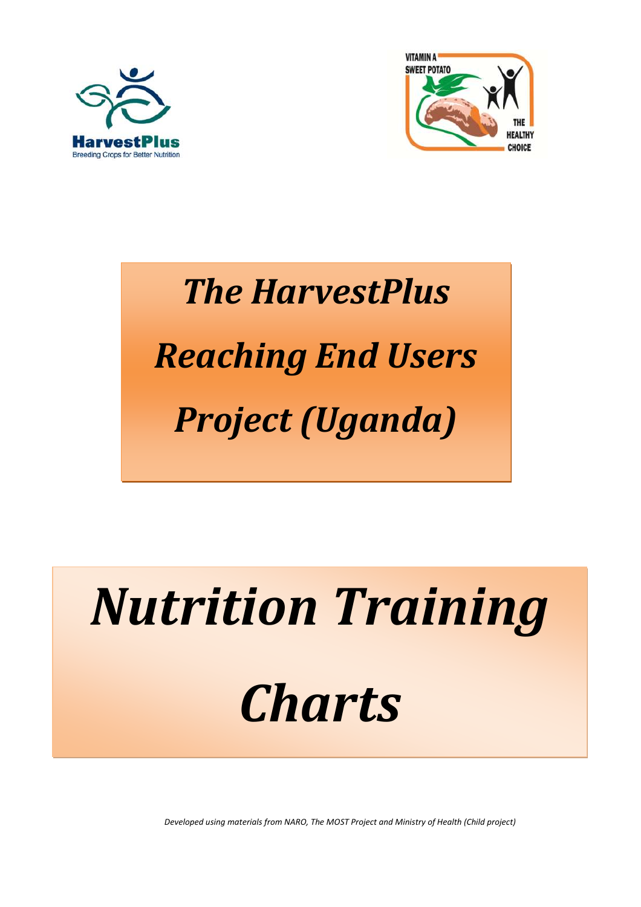# *Nutrition Training*

# *Charts*





# *The HarvestPlus Reaching End Users Project (Uganda)*

*Developed using materials from NARO, The MOST Project and Ministry of Health (Child project)*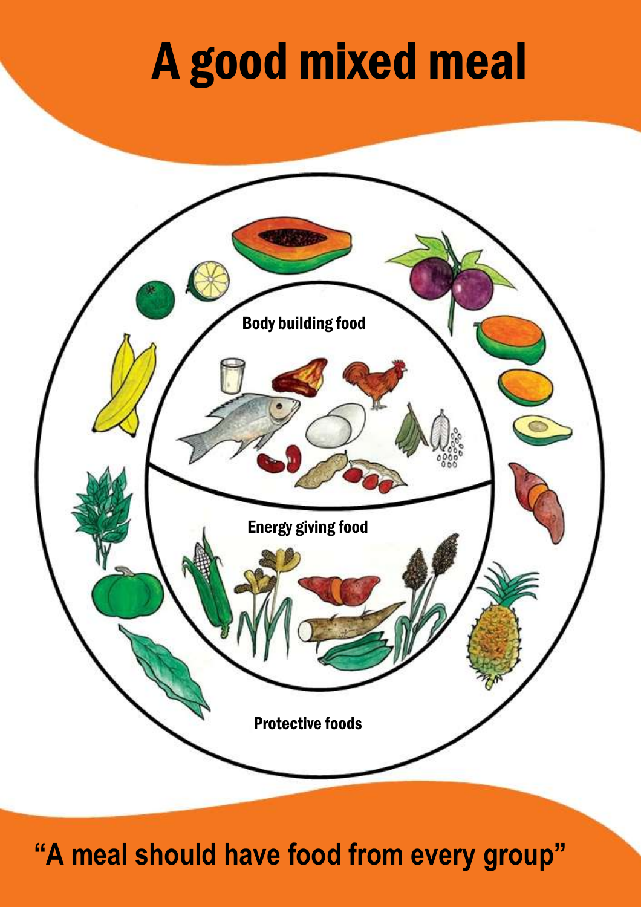# A good mixed meal



## **"A meal should have food from every group"**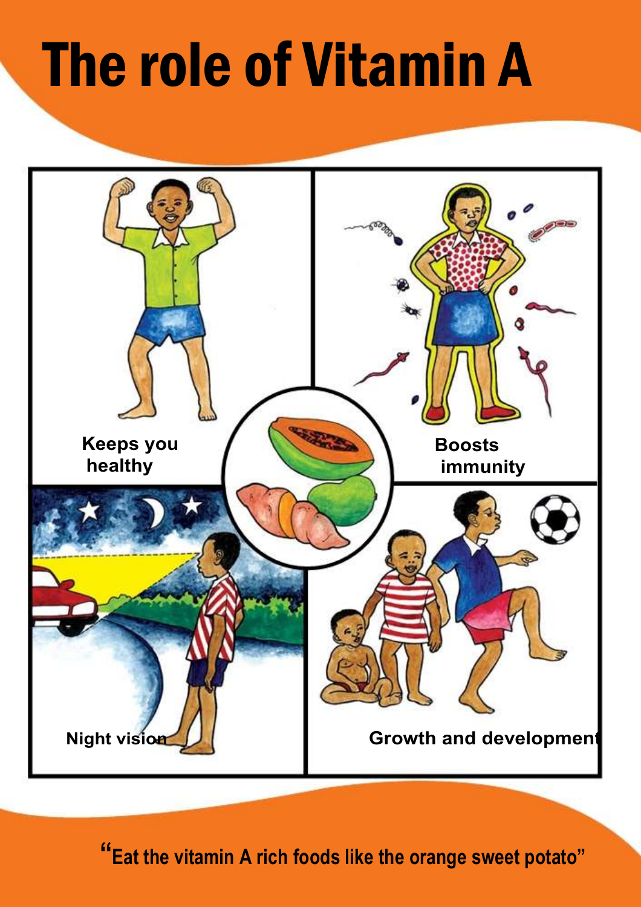# The role of Vitamin A



## **"Eat the vitamin A rich foods like the orange sweet potato"**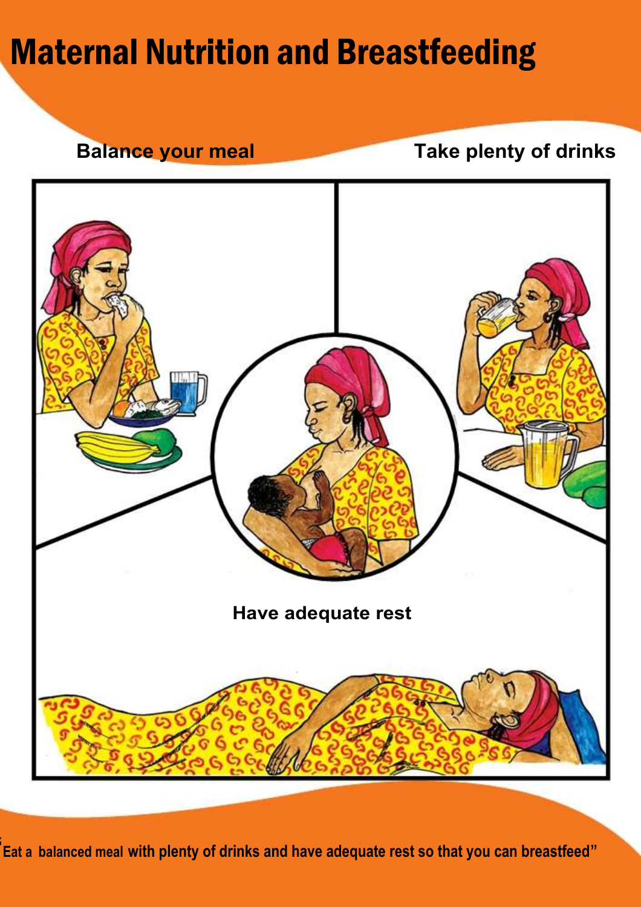# Maternal Nutrition and Breastfeeding

**Balance your meal Take plenty of drinks**



### **" Eat a balanced meal with plenty of drinks and have adequate rest so that you can breastfeed"**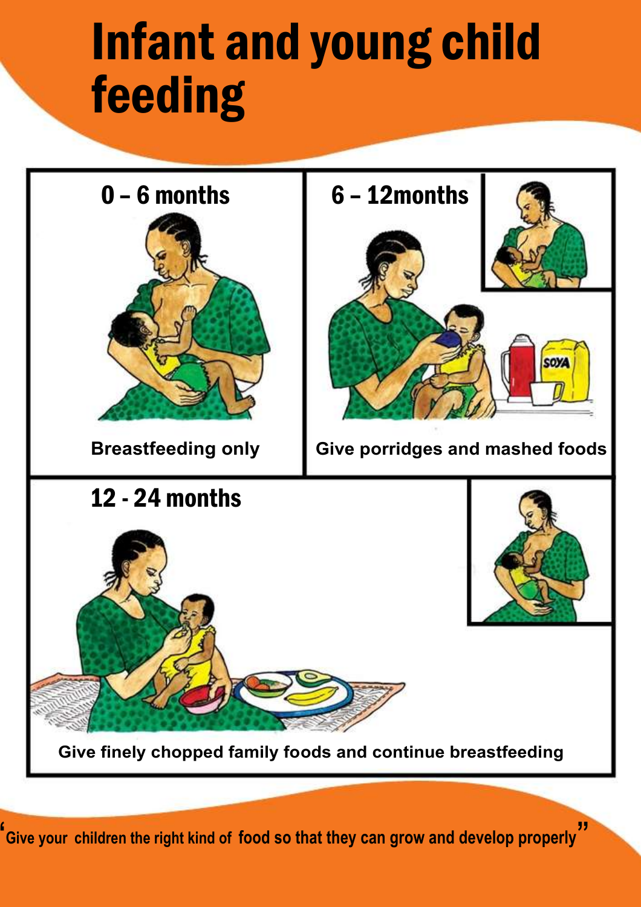# Infant and young child feeding





### **Give finely chopped family foods and continue breastfeeding**

**" Give your children the right kind of food so that they can grow and develop properly"**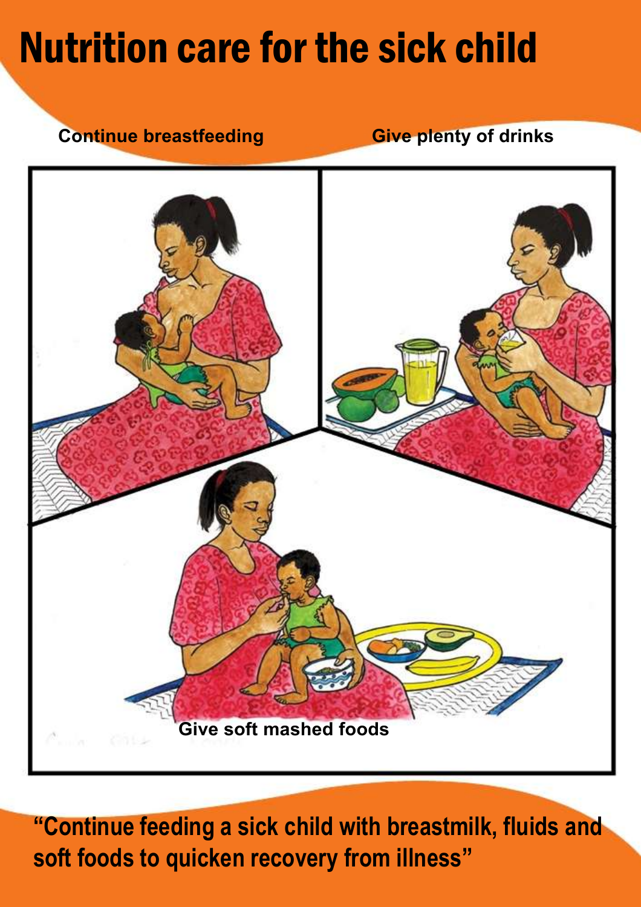# Nutrition care for the sick child

# **Continue breastfeeding Eive plenty of drinks**

### **Give soft mashed foods**

### **"Continue feeding a sick child with breastmilk, fluids and soft foods to quicken recovery from illness"**